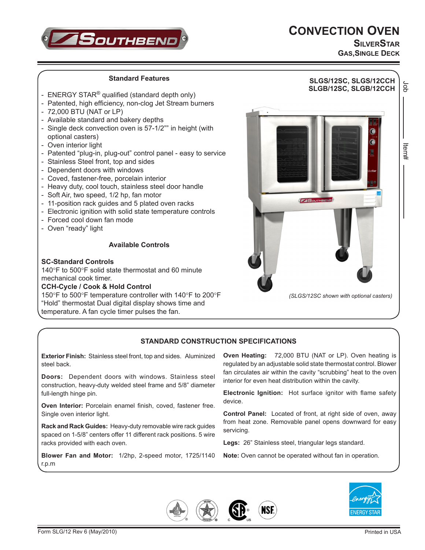



**SilverStar GAS,SINGLE DECK**

Job Item#

ltem#

## **Standard Features SLGS/12SC, SLGS/12CCH** <u>pp</u> **SLGB/12SC, SLGB/12CCH** - ENERGY STAR<sup>®</sup> qualified (standard depth only) - Patented, high efficiency, non-clog Jet Stream burners - 72,000 BTU (NAT or LP) - Available standard and bakery depths - Single deck convection oven is 57-1/2"" in height (with optional casters) - Oven interior light - Patented "plug-in, plug-out" control panel - easy to service - Stainless Steel front, top and sides - Dependent doors with windows - Coved, fastener-free, porcelain interior - Heavy duty, cool touch, stainless steel door handle - Soft Air, two speed, 1/2 hp, fan motor  $TS$ outh - 11-position rack guides and 5 plated oven racks - Electronic ignition with solid state temperature controls - Forced cool down fan mode - Oven "ready" light **Available Controls SC-Standard Controls**

140°F to 500°F solid state thermostat and 60 minute mechanical cook timer.

## **CCH-Cycle / Cook & Hold Control**

150°F to 500°F temperature controller with 140°F to 200°F "Hold" thermostat Dual digital display shows time and temperature. A fan cycle timer pulses the fan.

**Exterior Finish:** Stainless steel front, top and sides. Aluminized

**Doors:** Dependent doors with windows. Stainless steel construction, heavy-duty welded steel frame and 5/8" diameter

**Oven Interior:** Porcelain enamel finish, coved, fastener free.

**Rack and Rack Guides:** Heavy-duty removable wire rack guides spaced on 1-5/8" centers offer 11 different rack positions. 5 wire



*(SLGS/12SC shown with optional casters)*

**Electronic Ignition:** Hot surface ignitor with flame safety device.

**Control Panel:** Located of front, at right side of oven, away from heat zone. Removable panel opens downward for easy servicing.

**Legs:** 26" Stainless steel, triangular legs standard.

**NSE** 

**Blower Fan and Motor:** 1/2hp, 2-speed motor, 1725/1140 r.p.m

**Note:** Oven cannot be operated without fan in operation.



steel back.

full-length hinge pin.

Single oven interior light.

racks provided with each oven.